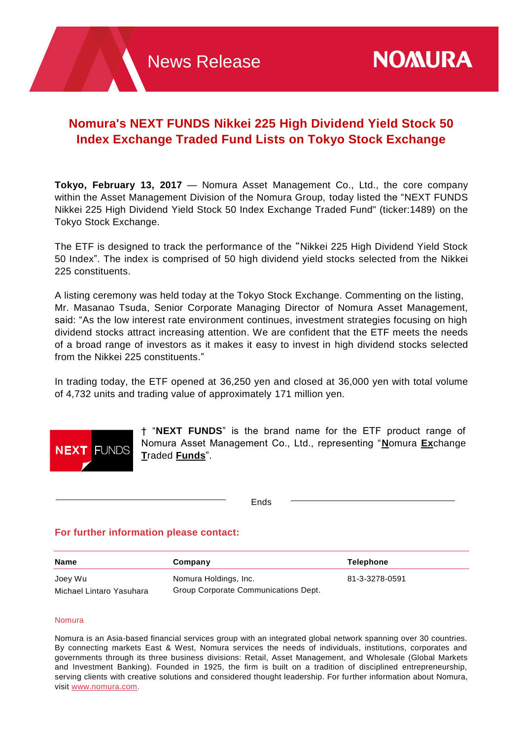# **Nomura's NEXT FUNDS Nikkei 225 High Dividend Yield Stock 50 Index Exchange Traded Fund Lists on Tokyo Stock Exchange**

**Tokyo, February 13, 2017** — Nomura Asset Management Co., Ltd., the core company within the Asset Management Division of the Nomura Group, today listed the "NEXT FUNDS Nikkei 225 High Dividend Yield Stock 50 Index Exchange Traded Fund" (ticker:1489) on the Tokyo Stock Exchange.

The ETF is designed to track the performance of the "Nikkei 225 High Dividend Yield Stock 50 Index". The index is comprised of 50 high dividend yield stocks selected from the Nikkei 225 constituents.

A listing ceremony was held today at the Tokyo Stock Exchange. Commenting on the listing, Mr. Masanao Tsuda, Senior Corporate Managing Director of Nomura Asset Management, said: "As the low interest rate environment continues, investment strategies focusing on high dividend stocks attract increasing attention. We are confident that the ETF meets the needs of a broad range of investors as it makes it easy to invest in high dividend stocks selected from the Nikkei 225 constituents."

In trading today, the ETF opened at 36,250 yen and closed at 36,000 yen with total volume of 4,732 units and trading value of approximately 171 million yen.



† "**NEXT FUNDS**" is the brand name for the ETF product range of Nomura Asset Management Co., Ltd., representing "**N**omura **Ex**change **T**raded **Funds**".

Ends

## **For further information please contact:**

| Name                     | Company                              | Telephone      |
|--------------------------|--------------------------------------|----------------|
| Joey Wu                  | Nomura Holdings, Inc.                | 81-3-3278-0591 |
| Michael Lintaro Yasuhara | Group Corporate Communications Dept. |                |

## Nomura

Nomura is an Asia-based financial services group with an integrated global network spanning over 30 countries. By connecting markets East & West, Nomura services the needs of individuals, institutions, corporates and governments through its three business divisions: Retail, Asset Management, and Wholesale (Global Markets and Investment Banking). Founded in 1925, the firm is built on a tradition of disciplined entrepreneurship, serving clients with creative solutions and considered thought leadership. For further information about Nomura, visit [www.nomura.com.](http://www.nomura.com/)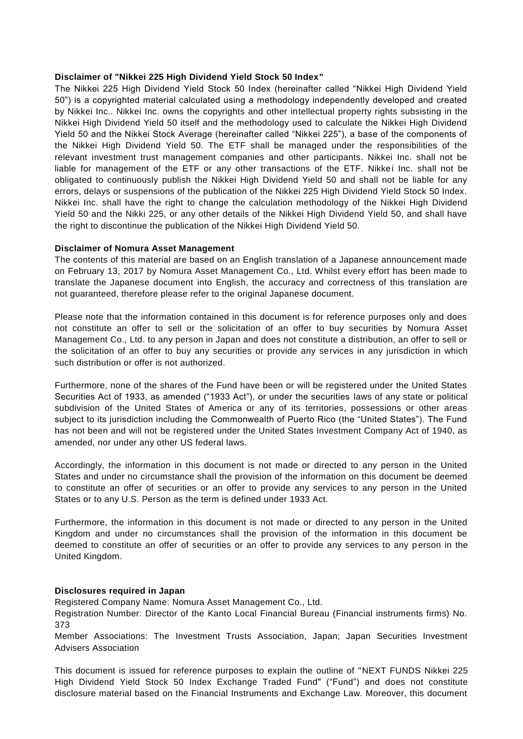#### **Disclaimer of "Nikkei 225 High Dividend Yield Stock 50 Index"**

The Nikkei 225 High Dividend Yield Stock 50 Index (hereinafter called "Nikkei High Dividend Yield 50") is a copyrighted material calculated using a methodology independently developed and created by Nikkei Inc.. Nikkei Inc. owns the copyrights and other intellectual property rights subsisting in the Nikkei High Dividend Yield 50 itself and the methodology used to calculate the Nikkei High Dividend Yield 50 and the Nikkei Stock Average (hereinafter called "Nikkei 225"), a base of the components of the Nikkei High Dividend Yield 50. The ETF shall be managed under the responsibilities of the relevant investment trust management companies and other participants. Nikkei Inc. shall not be liable for management of the ETF or any other transactions of the ETF. Nikkei Inc. shall not be obligated to continuously publish the Nikkei High Dividend Yield 50 and shall not be liable for any errors, delays or suspensions of the publication of the Nikkei 225 High Dividend Yield Stock 50 Index. Nikkei Inc. shall have the right to change the calculation methodology of the Nikkei High Dividend Yield 50 and the Nikki 225, or any other details of the Nikkei High Dividend Yield 50, and shall have the right to discontinue the publication of the Nikkei High Dividend Yield 50.

### **Disclaimer of Nomura Asset Management**

The contents of this material are based on an English translation of a Japanese announcement made on February 13, 2017 by Nomura Asset Management Co., Ltd. Whilst every effort has been made to translate the Japanese document into English, the accuracy and correctness of this translation are not guaranteed, therefore please refer to the original Japanese document.

Please note that the information contained in this document is for reference purposes only and does not constitute an offer to sell or the solicitation of an offer to buy securities by Nomura Asset Management Co., Ltd. to any person in Japan and does not constitute a distribution, an offer to sell or the solicitation of an offer to buy any securities or provide any services in any jurisdiction in which such distribution or offer is not authorized.

Furthermore, none of the shares of the Fund have been or will be registered under the United States Securities Act of 1933, as amended ("1933 Act"), or under the securities laws of any state or political subdivision of the United States of America or any of its territories, possessions or other areas subject to its jurisdiction including the Commonwealth of Puerto Rico (the "United States"). The Fund has not been and will not be registered under the United States Investment Company Act of 1940, as amended, nor under any other US federal laws.

Accordingly, the information in this document is not made or directed to any person in the United States and under no circumstance shall the provision of the information on this document be deemed to constitute an offer of securities or an offer to provide any services to any person in the United States or to any U.S. Person as the term is defined under 1933 Act.

Furthermore, the information in this document is not made or directed to any person in the United Kingdom and under no circumstances shall the provision of the information in this document be deemed to constitute an offer of securities or an offer to provide any services to any person in the United Kingdom.

## **Disclosures required in Japan**

Registered Company Name: Nomura Asset Management Co., Ltd.

Registration Number: Director of the Kanto Local Financial Bureau (Financial instruments firms) No. 373

Member Associations: The Investment Trusts Association, Japan; Japan Securities Investment Advisers Association

This document is issued for reference purposes to explain the outline of "NEXT FUNDS Nikkei 225 High Dividend Yield Stock 50 Index Exchange Traded Fund" ("Fund") and does not constitute disclosure material based on the Financial Instruments and Exchange Law. Moreover, this document